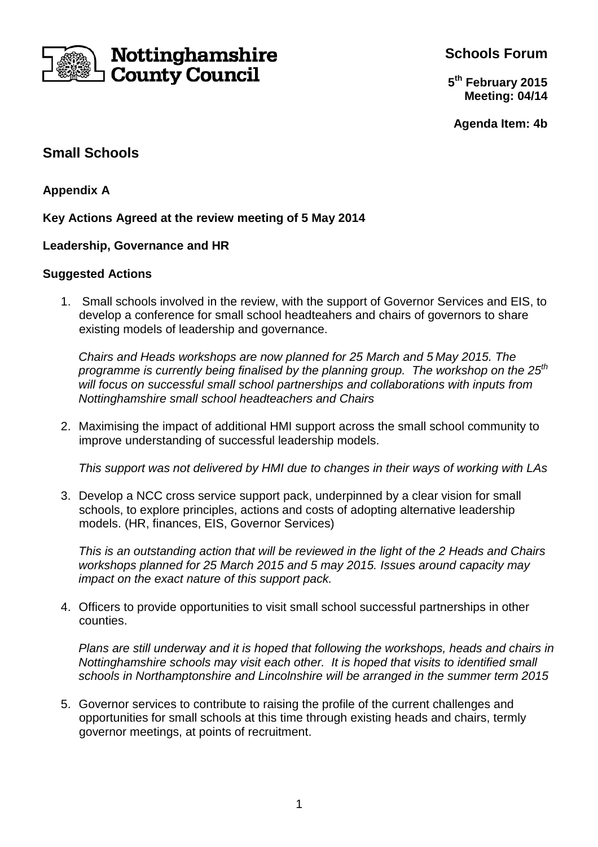

**Schools Forum**

**5 th February 2015 Meeting: 04/14**

**Agenda Item: 4b**

# **Small Schools**

**Appendix A** 

**Key Actions Agreed at the review meeting of 5 May 2014** 

## **Leadership, Governance and HR**

#### **Suggested Actions**

1. Small schools involved in the review, with the support of Governor Services and EIS, to develop a conference for small school headteahers and chairs of governors to share existing models of leadership and governance.

Chairs and Heads workshops are now planned for 25 March and 5 May 2015. The programme is currently being finalised by the planning group. The workshop on the  $25<sup>th</sup>$ will focus on successful small school partnerships and collaborations with inputs from Nottinghamshire small school headteachers and Chairs

2. Maximising the impact of additional HMI support across the small school community to improve understanding of successful leadership models.

This support was not delivered by HMI due to changes in their ways of working with LAs

3. Develop a NCC cross service support pack, underpinned by a clear vision for small schools, to explore principles, actions and costs of adopting alternative leadership models. (HR, finances, EIS, Governor Services)

This is an outstanding action that will be reviewed in the light of the 2 Heads and Chairs workshops planned for 25 March 2015 and 5 may 2015. Issues around capacity may impact on the exact nature of this support pack.

4. Officers to provide opportunities to visit small school successful partnerships in other counties.

Plans are still underway and it is hoped that following the workshops, heads and chairs in Nottinghamshire schools may visit each other. It is hoped that visits to identified small schools in Northamptonshire and Lincolnshire will be arranged in the summer term 2015

5. Governor services to contribute to raising the profile of the current challenges and opportunities for small schools at this time through existing heads and chairs, termly governor meetings, at points of recruitment.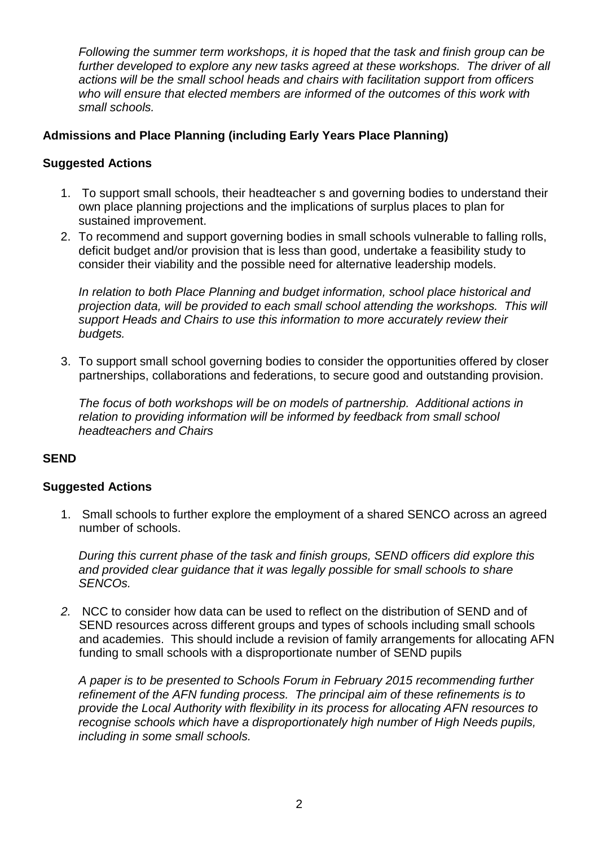Following the summer term workshops, it is hoped that the task and finish group can be further developed to explore any new tasks agreed at these workshops. The driver of all actions will be the small school heads and chairs with facilitation support from officers who will ensure that elected members are informed of the outcomes of this work with small schools.

## **Admissions and Place Planning (including Early Years Place Planning)**

# **Suggested Actions**

- 1. To support small schools, their headteacher s and governing bodies to understand their own place planning projections and the implications of surplus places to plan for sustained improvement.
- 2. To recommend and support governing bodies in small schools vulnerable to falling rolls, deficit budget and/or provision that is less than good, undertake a feasibility study to consider their viability and the possible need for alternative leadership models.

In relation to both Place Planning and budget information, school place historical and projection data, will be provided to each small school attending the workshops. This will support Heads and Chairs to use this information to more accurately review their budgets.

3. To support small school governing bodies to consider the opportunities offered by closer partnerships, collaborations and federations, to secure good and outstanding provision.

The focus of both workshops will be on models of partnership. Additional actions in relation to providing information will be informed by feedback from small school headteachers and Chairs

## **SEND**

## **Suggested Actions**

1. Small schools to further explore the employment of a shared SENCO across an agreed number of schools.

During this current phase of the task and finish groups, SEND officers did explore this and provided clear guidance that it was legally possible for small schools to share SENCOs.

2. NCC to consider how data can be used to reflect on the distribution of SEND and of SEND resources across different groups and types of schools including small schools and academies. This should include a revision of family arrangements for allocating AFN funding to small schools with a disproportionate number of SEND pupils

A paper is to be presented to Schools Forum in February 2015 recommending further refinement of the AFN funding process. The principal aim of these refinements is to provide the Local Authority with flexibility in its process for allocating AFN resources to recognise schools which have a disproportionately high number of High Needs pupils, including in some small schools.